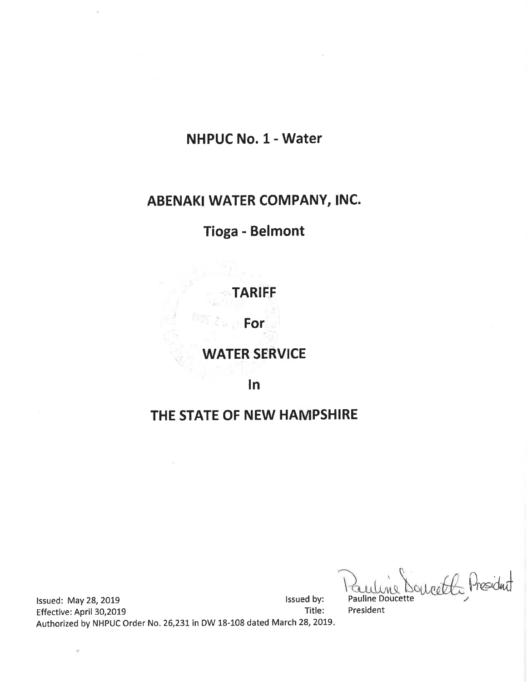## **NHPUC No. 1 - Water**

# ABENAKI WATER COMPANY, INC.

# **Tioga - Belmont**

TARIFF

For

## **WATER SERVICE**

 $\ln$ 

## THE STATE OF NEW HAMPSHIRE

recently President

Issued by: Issued: May 28, 2019 Title: Effective: April 30,2019 Authorized by NHPUC Order No. 26,231 in DW 18-108 dated March 28, 2019.

 $\bar{\nu}$ 

Pauline Doucette President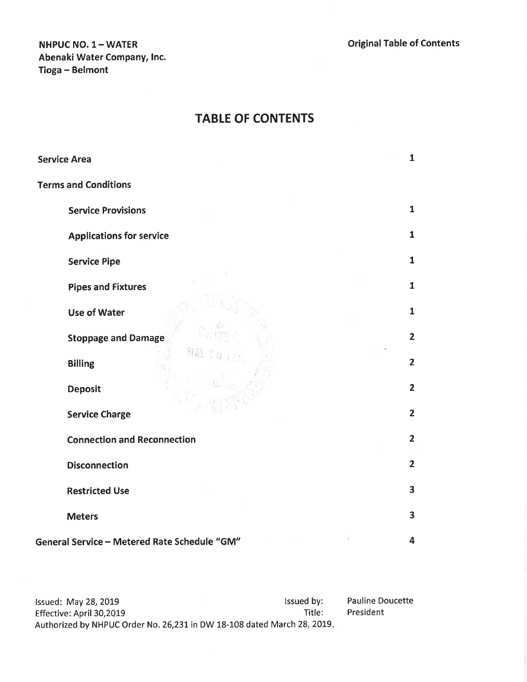## NHPUC NO. 1- WATER Abenaki Water Company, lnc. Tioga - Belmont

## TABLE OF CONTENTS

| <b>Service Area</b>                          | $\mathbf{1}$            |
|----------------------------------------------|-------------------------|
| <b>Terms and Conditions</b>                  |                         |
| <b>Service Provisions</b>                    | $\mathbf{1}$            |
| <b>Applications for service</b>              | $\mathbf{1}$            |
| <b>Service Pipe</b>                          | $\mathbf{1}$            |
| <b>Pipes and Fixtures</b>                    | $\mathbf{1}$            |
| <b>Use of Water</b>                          | $\mathbf{1}$            |
| <b>Stoppage and Damage</b>                   | $\overline{2}$          |
| <b>Billing</b>                               | $\overline{2}$          |
| <b>Deposit</b>                               | $\overline{2}$          |
| <b>Service Charge</b>                        | $\overline{2}$          |
| <b>Connection and Reconnection</b>           | $\overline{2}$          |
| <b>Disconnection</b>                         | $\overline{2}$          |
| <b>Restricted Use</b>                        | 3                       |
| <b>Meters</b>                                | $\overline{\mathbf{3}}$ |
| General Service - Metered Rate Schedule "GM" | $\overline{\mathbf{4}}$ |

lssued: May 28, 2019<br>Effective: April 30,2019 lssued by: later and the state of the state of the state of the state of the state of the state of the state of the state of the state of the state of the state of the state of Effective: April 30,2019 Authorized by NHPUC Order No. 26,231 in DW 18-108 dated March 28, 2019. Pauline Doucette President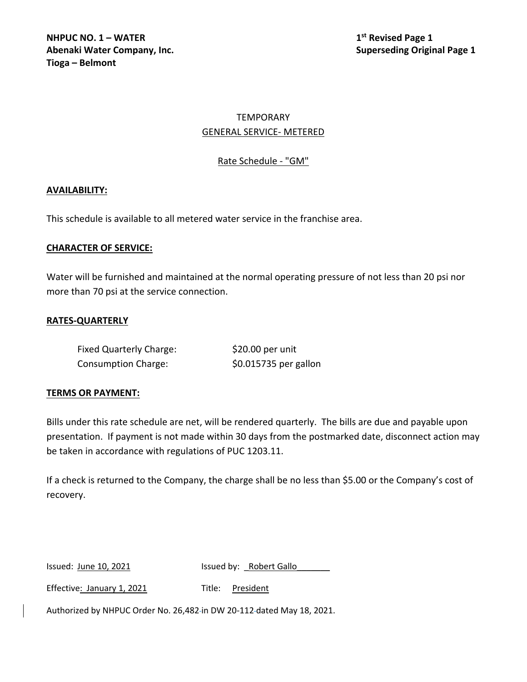**NHPUC NO. 1 – WATER 1st 1st 1st 1st 1st Revised Page 1 Abenaki Water Company, Inc. Superseding Original Page 1 Tioga – Belmont**

## TEMPORARY GENERAL SERVICE- METERED

## Rate Schedule - "GM"

#### **AVAILABILITY:**

This schedule is available to all metered water service in the franchise area.

#### **CHARACTER OF SERVICE:**

Water will be furnished and maintained at the normal operating pressure of not less than 20 psi nor more than 70 psi at the service connection.

### **RATES-QUARTERLY**

| <b>Fixed Quarterly Charge:</b> | \$20.00 per unit      |
|--------------------------------|-----------------------|
| <b>Consumption Charge:</b>     | \$0.015735 per gallon |

#### **TERMS OR PAYMENT:**

Bills under this rate schedule are net, will be rendered quarterly. The bills are due and payable upon presentation. If payment is not made within 30 days from the postmarked date, disconnect action may be taken in accordance with regulations of PUC 1203.11.

If a check is returned to the Company, the charge shall be no less than \$5.00 or the Company's cost of recovery.

Issued: June 10, 2021 Issued by: Robert Gallo

Effective: January 1, 2021 Title: President

Authorized by NHPUC Order No. 26,482 in DW 20-112 dated May 18, 2021.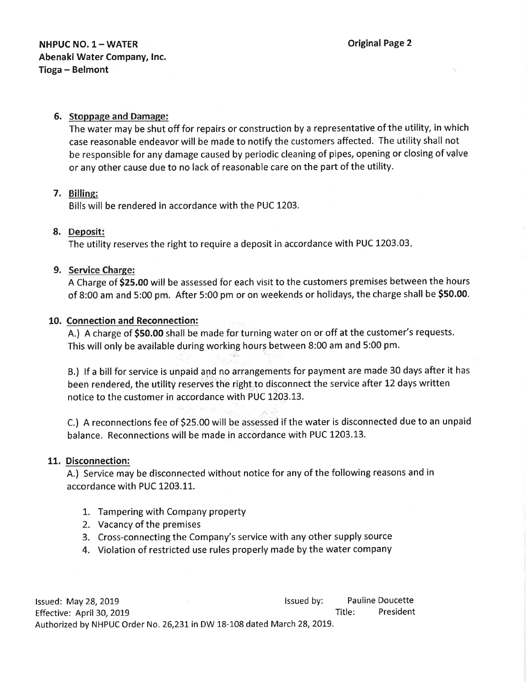## 6. Stoppage and Damage:

The water may be shut off for repairs or construction by a representative of the utility, in which case reasonable endeavor will be made to notify the customers affected. The utility shall not be responsible for any damage caused by periodic cleaning of pipes, opening or closing of valve or any other cause due to no lack of reasonable care on the part of the utility.

### 7. Billins:

Bills will be rendered in accordance with the PUC 1203.

## 8. Deposit:

The utility reserves the right to require a deposit in accordance with PUC L203.03

## 9. Service Charge:

A Charge of \$25.00 will be assessed for each visit to the customers premises between the hours of 8:00 am and 5:00 pm. After 5:00 pm or on weekends or holidays, the charge shall be 550.00.

## 10. Connection and Reconnection:

A.) A charge of \$50.00 shall be made for turning water on or off at the customer's requests. This will only be available during working hours between 8:00 am and 5:00 pm.

B.) lf a bill for service is unpaid and no arrangements for payment are made 30 days after it has been rendered, the utility reserves the right to disconnect the service after L2 days written notice to the customer in accordance with PUC 1203.13.

C.) A reconnections fee of 525.00 will be assessed if the water is disconnected due to an unpaid balance. Reconnections will be made in accordance with PUC 1203.13.

### 11. Disconnection:

A.) Service may be disconnected without notice for any of the following reasons and in accordance with PUC 1203.11.

- 1. Tampering with Company property
- 2. Vacancy of the premises
- 3. Cross-connecting the Company's service with any other supply source
- 4. Violation of restricted use rules properly made by the water company

lssued: May 28,2OL9 lssued by: Pauline Doucette Effective: April 30, 2019 **Title:** President Authorized by NHPUC Order No. 26,231 in DW 18-108 dated March 28, 2019.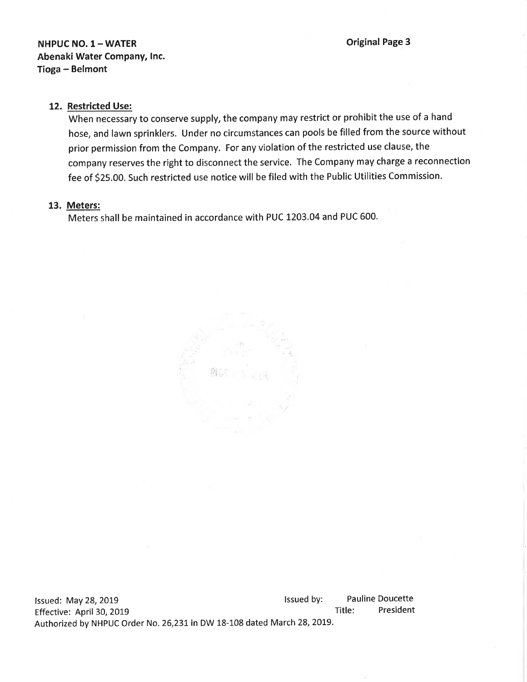## NHPUC NO. 1- WATER Abenaki Water Company, lnc. Tioga - Belmont

Original Page 3

#### 12. Restricted Use:

When necessary to conserve supply, the company may restrict or prohibit the use of a hand hose, and lawn sprinklers. Under no circumstances can pools be filled from the source without prior permission from the Company. For any violation of the restricted use clause, the company reserves the right to disconnect the service. The Company may charge a reconnection fee of S25.OO. Such restricted use notice will be filed with the Public Utilities Commission.

#### 13. Meters:

Meters shall be maintained in accordance with PUC 1203.04 and PUC 600.



Issued: May 28, 2019 **lack and Struth and Struth and Struth and Struth and Struth and Struth and Struth and Struth and Struth and Struth and Struth and Struth and Struth and Struth and Struth and Struth and Struth and Stru** Effective: April 30, 2019 Authorized by NHPUC Order No. 26,231 in DW 18-108 dated March 28, 2019. Pauline Doucette Title: President